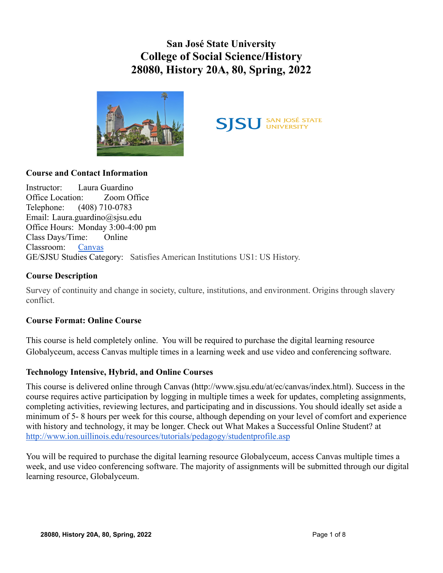**San José State University College of Social Science/History 28080, History 20A, 80, Spring, 2022**





# **Course and Contact Information**

Instructor: Laura Guardino Office Location: Zoom Office Telephone: (408) 710-0783 Email: Laura.guardino@sjsu.edu Office Hours: Monday 3:00-4:00 pm Class Days/Time: Online Classroom: [Canvas](https://sjsu.instructure.com/) GE/SJSU Studies Category: Satisfies American Institutions US1: US History.

#### **Course Description**

Survey of continuity and change in society, culture, institutions, and environment. Origins through slavery conflict.

#### **Course Format: Online Course**

This course is held completely online. You will be required to purchase the digital learning resource Globalyceum, access Canvas multiple times in a learning week and use video and conferencing software.

#### **Technology Intensive, Hybrid, and Online Courses**

This course is delivered online through Canvas (http://www.sjsu.edu/at/ec/canvas/index.html). Success in the course requires active participation by logging in multiple times a week for updates, completing assignments, completing activities, reviewing lectures, and participating and in discussions. You should ideally set aside a minimum of 5- 8 hours per week for this course, although depending on your level of comfort and experience with history and technology, it may be longer. Check out What Makes a Successful Online Student? at <http://www.ion.uillinois.edu/resources/tutorials/pedagogy/studentprofile.asp>

You will be required to purchase the digital learning resource Globalyceum, access Canvas multiple times a week, and use video conferencing software. The majority of assignments will be submitted through our digital learning resource, Globalyceum.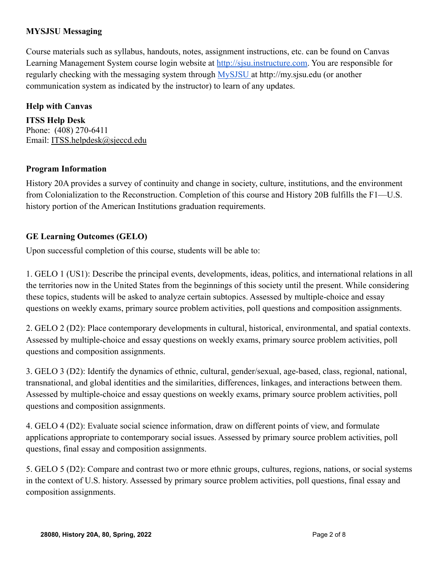### **MYSJSU Messaging**

Course materials such as syllabus, handouts, notes, assignment instructions, etc. can be found on Canvas Learning Management System course login website at [http://sjsu.instructure.com.](http://sjsu.instructure.com) You are responsible for regularly checking with the messaging system through [MySJSU](http://my.sjsu.edu) at http://my.sjsu.edu (or another communication system as indicated by the instructor) to learn of any updates.

### **Help with Canvas**

**ITSS Help Desk** Phone: (408) 270-6411 Email: [ITSS.helpdesk@sjeccd.edu](mailto:ITSS.helpdesk@sjeccd.edu)

#### **Program Information**

History 20A provides a survey of continuity and change in society, culture, institutions, and the environment from Colonialization to the Reconstruction. Completion of this course and History 20B fulfills the F1—U.S. history portion of the American Institutions graduation requirements.

# **GE Learning Outcomes (GELO)**

Upon successful completion of this course, students will be able to:

1. GELO 1 (US1): Describe the principal events, developments, ideas, politics, and international relations in all the territories now in the United States from the beginnings of this society until the present. While considering these topics, students will be asked to analyze certain subtopics. Assessed by multiple-choice and essay questions on weekly exams, primary source problem activities, poll questions and composition assignments.

2. GELO 2 (D2): Place contemporary developments in cultural, historical, environmental, and spatial contexts. Assessed by multiple-choice and essay questions on weekly exams, primary source problem activities, poll questions and composition assignments.

3. GELO 3 (D2): Identify the dynamics of ethnic, cultural, gender/sexual, age-based, class, regional, national, transnational, and global identities and the similarities, differences, linkages, and interactions between them. Assessed by multiple-choice and essay questions on weekly exams, primary source problem activities, poll questions and composition assignments.

4. GELO 4 (D2): Evaluate social science information, draw on different points of view, and formulate applications appropriate to contemporary social issues. Assessed by primary source problem activities, poll questions, final essay and composition assignments.

5. GELO 5 (D2): Compare and contrast two or more ethnic groups, cultures, regions, nations, or social systems in the context of U.S. history. Assessed by primary source problem activities, poll questions, final essay and composition assignments.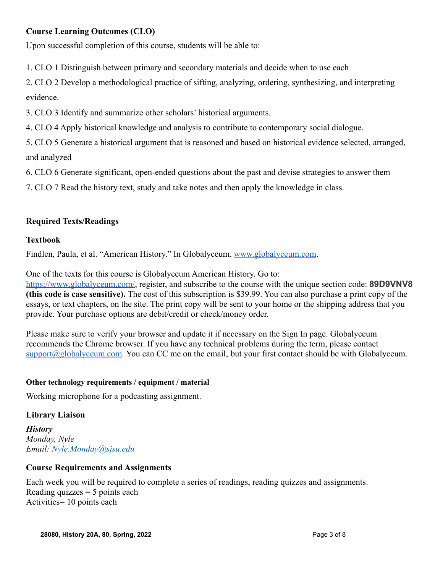# **Course Learning Outcomes (CLO)**

Upon successful completion of this course, students will be able to:

1. CLO 1 Distinguish between primary and secondary materials and decide when to use each

2. CLO 2 Develop a methodological practice of sifting, analyzing, ordering, synthesizing, and interpreting evidence.

3. CLO 3 Identify and summarize other scholars' historical arguments.

4. CLO 4 Apply historical knowledge and analysis to contribute to contemporary social dialogue.

5. CLO 5 Generate a historical argument that is reasoned and based on historical evidence selected, arranged, and analyzed

6. CLO 6 Generate significant, open-ended questions about the past and devise strategies to answer them

7. CLO 7 Read the history text, study and take notes and then apply the knowledge in class.

# **Required Texts/Readings**

#### **Textbook**

Findlen, Paula, et al. "American History." In Globalyceum. [www.globalyceum.com](http://www.globalyceum.com).

One of the texts for this course is Globalyceum American History. Go to:

[https://www.globalyceum.com/,](https://www.globalyceum.com/) register, and subscribe to the course with the unique section code: **89D9VNV8 (this code is case sensitive).** The cost of this subscription is \$39.99. You can also purchase a print copy of the essays, or text chapters, on the site. The print copy will be sent to your home or the shipping address that you provide. Your purchase options are debit/credit or check/money order.

Please make sure to verify your browser and update it if necessary on the Sign In page. Globalyceum recommends the Chrome browser. If you have any technical problems during the term, please contact [support@globalyceum.com.](mailto:support@globalyceum.com) You can CC me on the email, but your first contact should be with Globalyceum.

#### **Other technology requirements / equipment / material**

Working microphone for a podcasting assignment.

#### **Library Liaison**

*History Monday, Nyle Email: Nyle.Monday@sjsu.edu*

#### **Course Requirements and Assignments**

Each week you will be required to complete a series of readings, reading quizzes and assignments. Reading quizzes  $= 5$  points each Activities= 10 points each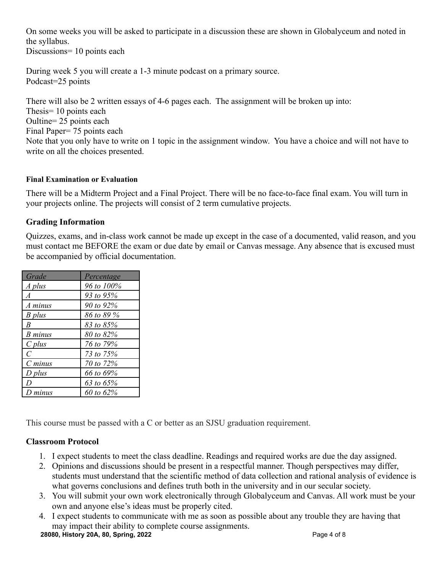On some weeks you will be asked to participate in a discussion these are shown in Globalyceum and noted in the syllabus.

Discussions= 10 points each

During week 5 you will create a 1-3 minute podcast on a primary source. Podcast=25 points

There will also be 2 written essays of 4-6 pages each. The assignment will be broken up into: Thesis= 10 points each Oultine= 25 points each Final Paper= 75 points each Note that you only have to write on 1 topic in the assignment window. You have a choice and will not have to write on all the choices presented.

#### **Final Examination or Evaluation**

There will be a Midterm Project and a Final Project. There will be no face-to-face final exam. You will turn in your projects online. The projects will consist of 2 term cumulative projects.

# **Grading Information**

Quizzes, exams, and in-class work cannot be made up except in the case of a documented, valid reason, and you must contact me BEFORE the exam or due date by email or Canvas message. Any absence that is excused must be accompanied by official documentation.

| Grade            | Percentage |
|------------------|------------|
| A plus           | 96 to 100% |
| A                | 93 to 95%  |
| A minus          | 90 to 92%  |
| B plus           | 86 to 89 % |
| $\boldsymbol{B}$ | 83 to 85%  |
| <b>B</b> minus   | 80 to 82%  |
| $C$ plus         | 76 to 79%  |
| $\mathcal{C}$    | 73 to 75%  |
| $C \, minus$     | 70 to 72%  |
| $D$ plus         | 66 to 69%  |
| D                | 63 to 65%  |
| $D$ minus        | 60 to 62%  |

This course must be passed with a C or better as an SJSU graduation requirement.

# **Classroom Protocol**

- 1. I expect students to meet the class deadline. Readings and required works are due the day assigned.
- 2. Opinions and discussions should be present in a respectful manner. Though perspectives may differ, students must understand that the scientific method of data collection and rational analysis of evidence is what governs conclusions and defines truth both in the university and in our secular society.
- 3. You will submit your own work electronically through Globalyceum and Canvas. All work must be your own and anyone else's ideas must be properly cited.
- 4. I expect students to communicate with me as soon as possible about any trouble they are having that may impact their ability to complete course assignments.

**28080, History 20A, 80, Spring, 2022** Page 4 of 8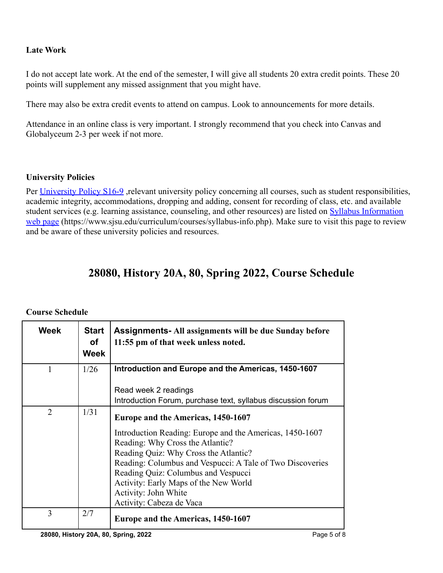# **Late Work**

I do not accept late work. At the end of the semester, I will give all students 20 extra credit points. These 20 points will supplement any missed assignment that you might have.

There may also be extra credit events to attend on campus. Look to announcements for more details.

Attendance in an online class is very important. I strongly recommend that you check into Canvas and Globalyceum 2-3 per week if not more.

#### **University Policies**

Per [University Policy S16-9](http://www.sjsu.edu/senate/docs/S16-9.pdf), relevant university policy concerning all courses, such as student responsibilities, academic integrity, accommodations, dropping and adding, consent for recording of class, etc. and available student services (e.g. learning assistance, counseling, and other resources) are listed on [Syllabus Information](https://www.sjsu.edu/curriculum/courses/syllabus-info.php) [web page](https://www.sjsu.edu/curriculum/courses/syllabus-info.php) (https://www.sjsu.edu/curriculum/courses/syllabus-info.php). Make sure to visit this page to review and be aware of these university policies and resources.

# **28080, History 20A, 80, Spring 2022, Course Schedule**

### **Course Schedule**

| <b>Week</b>    | <b>Start</b><br>οf<br><b>Week</b> | <b>Assignments-All assignments will be due Sunday before</b><br>11:55 pm of that week unless noted. |
|----------------|-----------------------------------|-----------------------------------------------------------------------------------------------------|
|                | 1/26                              | Introduction and Europe and the Americas, 1450-1607                                                 |
|                |                                   | Read week 2 readings                                                                                |
|                |                                   | Introduction Forum, purchase text, syllabus discussion forum                                        |
| $\overline{2}$ | 1/31                              | Europe and the Americas, 1450-1607                                                                  |
|                |                                   | Introduction Reading: Europe and the Americas, 1450-1607                                            |
|                |                                   | Reading: Why Cross the Atlantic?                                                                    |
|                |                                   | Reading Quiz: Why Cross the Atlantic?                                                               |
|                |                                   | Reading: Columbus and Vespucci: A Tale of Two Discoveries                                           |
|                |                                   | Reading Quiz: Columbus and Vespucci                                                                 |
|                |                                   | Activity: Early Maps of the New World                                                               |
|                |                                   | Activity: John White                                                                                |
|                |                                   | Activity: Cabeza de Vaca                                                                            |
| 3              | 2/7                               | Europe and the Americas, 1450-1607                                                                  |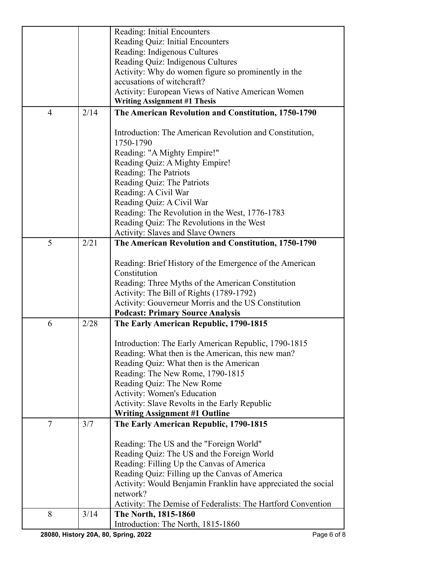|                |      | Reading: Initial Encounters                                               |
|----------------|------|---------------------------------------------------------------------------|
|                |      | Reading Quiz: Initial Encounters                                          |
|                |      | Reading: Indigenous Cultures                                              |
|                |      | Reading Quiz: Indigenous Cultures                                         |
|                |      | Activity: Why do women figure so prominently in the                       |
|                |      | accusations of witchcraft?                                                |
|                |      | <b>Activity: European Views of Native American Women</b>                  |
|                |      | <b>Writing Assignment #1 Thesis</b>                                       |
| $\overline{4}$ | 2/14 | The American Revolution and Constitution, 1750-1790                       |
|                |      |                                                                           |
|                |      | Introduction: The American Revolution and Constitution,                   |
|                |      | 1750-1790                                                                 |
|                |      | Reading: "A Mighty Empire!"                                               |
|                |      | Reading Quiz: A Mighty Empire!                                            |
|                |      | Reading: The Patriots                                                     |
|                |      | Reading Quiz: The Patriots                                                |
|                |      | Reading: A Civil War                                                      |
|                |      | Reading Quiz: A Civil War                                                 |
|                |      | Reading: The Revolution in the West, 1776-1783                            |
|                |      | Reading Quiz: The Revolutions in the West                                 |
|                |      | <b>Activity: Slaves and Slave Owners</b>                                  |
| 5              | 2/21 | The American Revolution and Constitution, 1750-1790                       |
|                |      |                                                                           |
|                |      | Reading: Brief History of the Emergence of the American                   |
|                |      | Constitution                                                              |
|                |      | Reading: Three Myths of the American Constitution                         |
|                |      | Activity: The Bill of Rights (1789-1792)                                  |
|                |      | Activity: Gouverneur Morris and the US Constitution                       |
|                |      | <b>Podcast: Primary Source Analysis</b>                                   |
| 6              | 2/28 | The Early American Republic, 1790-1815                                    |
|                |      |                                                                           |
|                |      | Introduction: The Early American Republic, 1790-1815                      |
|                |      | Reading: What then is the American, this new man?                         |
|                |      | Reading Quiz: What then is the American                                   |
|                |      | Reading: The New Rome, 1790-1815                                          |
|                |      | Reading Quiz: The New Rome                                                |
|                |      | <b>Activity: Women's Education</b>                                        |
|                |      | Activity: Slave Revolts in the Early Republic                             |
|                |      | <b>Writing Assignment #1 Outline</b>                                      |
| $\overline{7}$ | 3/7  | The Early American Republic, 1790-1815                                    |
|                |      | Reading: The US and the "Foreign World"                                   |
|                |      |                                                                           |
|                |      | Reading Quiz: The US and the Foreign World                                |
|                |      | Reading: Filling Up the Canvas of America                                 |
|                |      | Reading Quiz: Filling up the Canvas of America                            |
|                |      | Activity: Would Benjamin Franklin have appreciated the social<br>network? |
|                |      |                                                                           |
| 8              |      | Activity: The Demise of Federalists: The Hartford Convention              |
|                | 3/14 | The North, 1815-1860                                                      |
|                |      | Introduction: The North, 1815-1860                                        |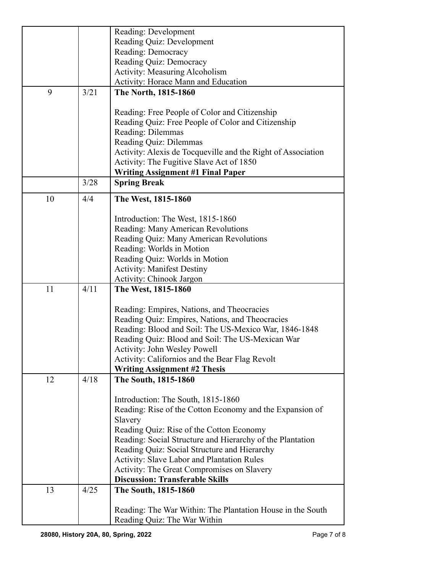|    |      | Reading: Development                                                                        |
|----|------|---------------------------------------------------------------------------------------------|
|    |      | Reading Quiz: Development                                                                   |
|    |      | Reading: Democracy                                                                          |
|    |      | Reading Quiz: Democracy                                                                     |
|    |      | <b>Activity: Measuring Alcoholism</b>                                                       |
|    |      | Activity: Horace Mann and Education                                                         |
| 9  | 3/21 | The North, 1815-1860                                                                        |
|    |      |                                                                                             |
|    |      | Reading: Free People of Color and Citizenship                                               |
|    |      | Reading Quiz: Free People of Color and Citizenship                                          |
|    |      | Reading: Dilemmas                                                                           |
|    |      | Reading Quiz: Dilemmas                                                                      |
|    |      | Activity: Alexis de Tocqueville and the Right of Association                                |
|    |      | Activity: The Fugitive Slave Act of 1850                                                    |
|    |      | <b>Writing Assignment #1 Final Paper</b>                                                    |
|    | 3/28 | <b>Spring Break</b>                                                                         |
|    |      |                                                                                             |
| 10 | 4/4  | The West, 1815-1860                                                                         |
|    |      |                                                                                             |
|    |      | Introduction: The West, 1815-1860                                                           |
|    |      | Reading: Many American Revolutions                                                          |
|    |      | Reading Quiz: Many American Revolutions                                                     |
|    |      | Reading: Worlds in Motion                                                                   |
|    |      | Reading Quiz: Worlds in Motion                                                              |
|    |      | <b>Activity: Manifest Destiny</b>                                                           |
|    |      | <b>Activity: Chinook Jargon</b>                                                             |
| 11 | 4/11 | The West, 1815-1860                                                                         |
|    |      |                                                                                             |
|    |      | Reading: Empires, Nations, and Theocracies                                                  |
|    |      | Reading Quiz: Empires, Nations, and Theocracies                                             |
|    |      | Reading: Blood and Soil: The US-Mexico War, 1846-1848                                       |
|    |      | Reading Quiz: Blood and Soil: The US-Mexican War                                            |
|    |      | Activity: John Wesley Powell                                                                |
|    |      | Activity: Californios and the Bear Flag Revolt                                              |
|    |      | <b>Writing Assignment #2 Thesis</b>                                                         |
| 12 | 4/18 | The South, 1815-1860                                                                        |
|    |      |                                                                                             |
|    |      | Introduction: The South, 1815-1860                                                          |
|    |      | Reading: Rise of the Cotton Economy and the Expansion of                                    |
|    |      | Slavery                                                                                     |
|    |      | Reading Quiz: Rise of the Cotton Economy                                                    |
|    |      | Reading: Social Structure and Hierarchy of the Plantation                                   |
|    |      | Reading Quiz: Social Structure and Hierarchy                                                |
|    |      | Activity: Slave Labor and Plantation Rules                                                  |
|    |      | <b>Activity: The Great Compromises on Slavery</b><br><b>Discussion: Transferable Skills</b> |
| 13 | 4/25 |                                                                                             |
|    |      | The South, 1815-1860                                                                        |
|    |      | Reading: The War Within: The Plantation House in the South                                  |
|    |      | Reading Quiz: The War Within                                                                |